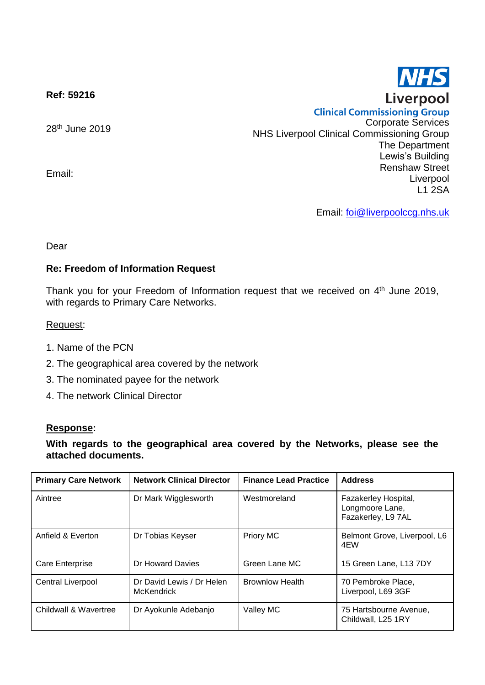

**Ref: 59216**

28<sup>th</sup> June 2019

Email:

**Clinical Commissioning Group** Corporate Services NHS Liverpool Clinical Commissioning Group The Department Lewis's Building Renshaw Street Liverpool L1 2SA

Email: [foi@liverpoolccg.nhs.uk](mailto:foi@liverpoolccg.nhs.uk)

Dear

## **Re: Freedom of Information Request**

Thank you for your Freedom of Information request that we received on 4<sup>th</sup> June 2019, with regards to Primary Care Networks.

## Request:

- 1. Name of the PCN
- 2. The geographical area covered by the network
- 3. The nominated payee for the network
- 4. The network Clinical Director

## **Response:**

## **With regards to the geographical area covered by the Networks, please see the attached documents.**

| <b>Primary Care Network</b> | <b>Network Clinical Director</b>               | <b>Finance Lead Practice</b> | <b>Address</b>                                                |
|-----------------------------|------------------------------------------------|------------------------------|---------------------------------------------------------------|
| Aintree                     | Dr Mark Wigglesworth                           | Westmoreland                 | Fazakerley Hospital,<br>Longmoore Lane,<br>Fazakerley, L9 7AL |
| Anfield & Everton           | Dr Tobias Keyser                               | Priory MC                    | Belmont Grove, Liverpool, L6<br>4EW                           |
| Care Enterprise             | Dr Howard Davies                               | Green Lane MC                | 15 Green Lane, L13 7DY                                        |
| <b>Central Liverpool</b>    | Dr David Lewis / Dr Helen<br><b>McKendrick</b> | <b>Brownlow Health</b>       | 70 Pembroke Place,<br>Liverpool, L69 3GF                      |
| Childwall & Wavertree       | Dr Ayokunle Adebanjo                           | Valley MC                    | 75 Hartsbourne Avenue,<br>Childwall, L25 1RY                  |